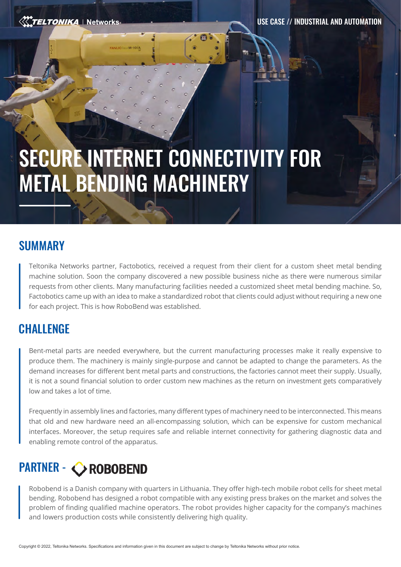TELTONIKA | Networks

# SECURE INTERNET CONNECTIVITY FOR METAL BENDING MACHINERY

#### **SUMMARY**

Teltonika Networks partner, Factobotics, received a request from their client for a custom sheet metal bending machine solution. Soon the company discovered a new possible business niche as there were numerous similar requests from other clients. Many manufacturing facilities needed a customized sheet metal bending machine. So, Factobotics came up with an idea to make a standardized robot that clients could adjust without requiring a new one for each project. This is how RoboBend was established.

### **CHALLENGE**

Bent-metal parts are needed everywhere, but the current manufacturing processes make it really expensive to produce them. The machinery is mainly single-purpose and cannot be adapted to change the parameters. As the demand increases for different bent metal parts and constructions, the factories cannot meet their supply. Usually, it is not a sound financial solution to order custom new machines as the return on investment gets comparatively low and takes a lot of time.

Frequently in assembly lines and factories, many different types of machinery need to be interconnected. This means that old and new hardware need an all-encompassing solution, which can be expensive for custom mechanical interfaces. Moreover, the setup requires safe and reliable internet connectivity for gathering diagnostic data and enabling remote control of the apparatus.

## PARTNER - < > ROBOBEND

Robobend is a Danish company with quarters in Lithuania. They offer high-tech mobile robot cells for sheet metal bending. Robobend has designed a robot compatible with any existing press brakes on the market and solves the problem of finding qualified machine operators. The robot provides higher capacity for the company's machines and lowers production costs while consistently delivering high quality.